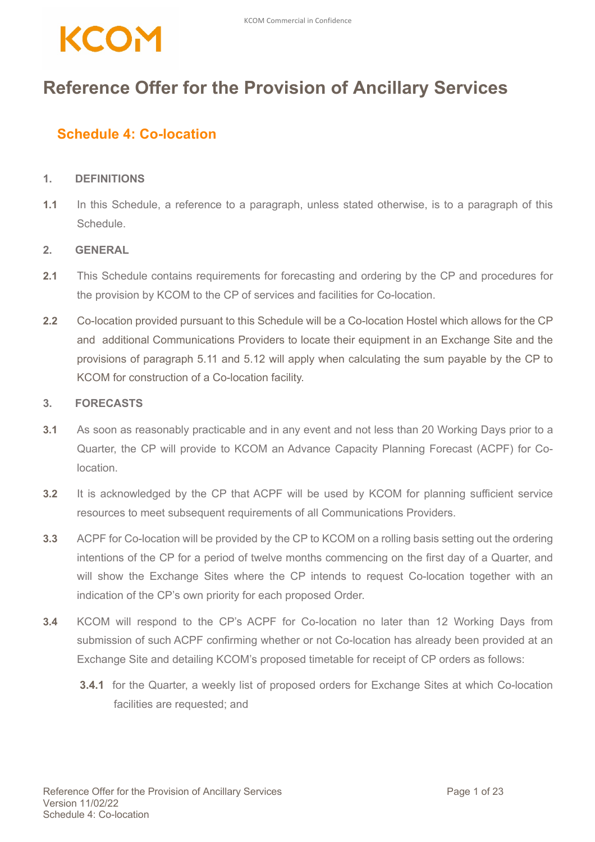### **Reference Offer for the Provision of Ancillary Services**

### **Schedule 4: Co-location**

#### **1. DEFINITIONS**

**1.1** In this Schedule, a reference to a paragraph, unless stated otherwise, is to a paragraph of this **Schedule** 

#### **2. GENERAL**

- **2.1** This Schedule contains requirements for forecasting and ordering by the CP and procedures for the provision by KCOM to the CP of services and facilities for Co-location.
- **2.2** Co-location provided pursuant to this Schedule will be a Co-location Hostel which allows for the CP and additional Communications Providers to locate their equipment in an Exchange Site and the provisions of paragraph 5.11 and 5.12 will apply when calculating the sum payable by the CP to KCOM for construction of a Co-location facility.

#### **3. FORECASTS**

- **3.1** As soon as reasonably practicable and in any event and not less than 20 Working Days prior to a Quarter, the CP will provide to KCOM an Advance Capacity Planning Forecast (ACPF) for Colocation.
- **3.2** It is acknowledged by the CP that ACPF will be used by KCOM for planning sufficient service resources to meet subsequent requirements of all Communications Providers.
- **3.3** ACPF for Co-location will be provided by the CP to KCOM on a rolling basis setting out the ordering intentions of the CP for a period of twelve months commencing on the first day of a Quarter, and will show the Exchange Sites where the CP intends to request Co-location together with an indication of the CP's own priority for each proposed Order.
- **3.4** KCOM will respond to the CP's ACPF for Co-location no later than 12 Working Days from submission of such ACPF confirming whether or not Co-location has already been provided at an Exchange Site and detailing KCOM's proposed timetable for receipt of CP orders as follows:
	- **3.4.1** for the Quarter, a weekly list of proposed orders for Exchange Sites at which Co-location facilities are requested; and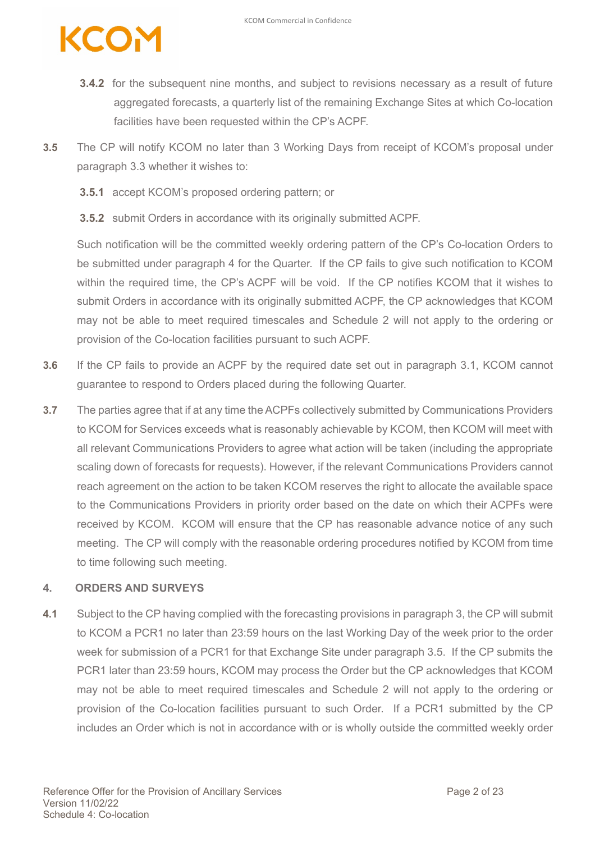- **3.4.2** for the subsequent nine months, and subject to revisions necessary as a result of future aggregated forecasts, a quarterly list of the remaining Exchange Sites at which Co-location facilities have been requested within the CP's ACPF.
- **3.5** The CP will notify KCOM no later than 3 Working Days from receipt of KCOM's proposal under paragraph 3.3 whether it wishes to:
	- **3.5.1** accept KCOM's proposed ordering pattern; or
	- **3.5.2** submit Orders in accordance with its originally submitted ACPF.

Such notification will be the committed weekly ordering pattern of the CP's Co-location Orders to be submitted under paragraph 4 for the Quarter. If the CP fails to give such notification to KCOM within the required time, the CP's ACPF will be void. If the CP notifies KCOM that it wishes to submit Orders in accordance with its originally submitted ACPF, the CP acknowledges that KCOM may not be able to meet required timescales and Schedule 2 will not apply to the ordering or provision of the Co-location facilities pursuant to such ACPF.

- **3.6** If the CP fails to provide an ACPF by the required date set out in paragraph 3.1, KCOM cannot guarantee to respond to Orders placed during the following Quarter.
- **3.7** The parties agree that if at any time the ACPFs collectively submitted by Communications Providers to KCOM for Services exceeds what is reasonably achievable by KCOM, then KCOM will meet with all relevant Communications Providers to agree what action will be taken (including the appropriate scaling down of forecasts for requests). However, if the relevant Communications Providers cannot reach agreement on the action to be taken KCOM reserves the right to allocate the available space to the Communications Providers in priority order based on the date on which their ACPFs were received by KCOM. KCOM will ensure that the CP has reasonable advance notice of any such meeting. The CP will comply with the reasonable ordering procedures notified by KCOM from time to time following such meeting.

#### **4. ORDERS AND SURVEYS**

**4.1** Subject to the CP having complied with the forecasting provisions in paragraph 3, the CP will submit to KCOM a PCR1 no later than 23:59 hours on the last Working Day of the week prior to the order week for submission of a PCR1 for that Exchange Site under paragraph 3.5. If the CP submits the PCR1 later than 23:59 hours, KCOM may process the Order but the CP acknowledges that KCOM may not be able to meet required timescales and Schedule 2 will not apply to the ordering or provision of the Co-location facilities pursuant to such Order. If a PCR1 submitted by the CP includes an Order which is not in accordance with or is wholly outside the committed weekly order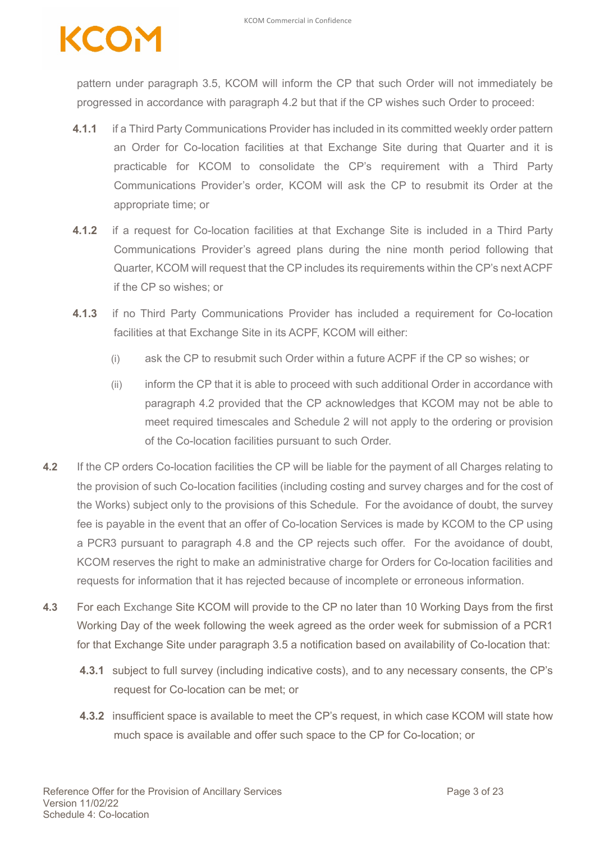pattern under paragraph 3.5, KCOM will inform the CP that such Order will not immediately be progressed in accordance with paragraph 4.2 but that if the CP wishes such Order to proceed:

- **4.1.1** if a Third Party Communications Provider has included in its committed weekly order pattern an Order for Co-location facilities at that Exchange Site during that Quarter and it is practicable for KCOM to consolidate the CP's requirement with a Third Party Communications Provider's order, KCOM will ask the CP to resubmit its Order at the appropriate time; or
- **4.1.2** if a request for Co-location facilities at that Exchange Site is included in a Third Party Communications Provider's agreed plans during the nine month period following that Quarter, KCOM will request that the CP includes its requirements within the CP's next ACPF if the CP so wishes; or
- **4.1.3** if no Third Party Communications Provider has included a requirement for Co-location facilities at that Exchange Site in its ACPF, KCOM will either:
	- (i) ask the CP to resubmit such Order within a future ACPF if the CP so wishes; or
	- (ii) inform the CP that it is able to proceed with such additional Order in accordance with paragraph 4.2 provided that the CP acknowledges that KCOM may not be able to meet required timescales and Schedule 2 will not apply to the ordering or provision of the Co-location facilities pursuant to such Order.
- **4.2** If the CP orders Co-location facilities the CP will be liable for the payment of all Charges relating to the provision of such Co-location facilities (including costing and survey charges and for the cost of the Works) subject only to the provisions of this Schedule. For the avoidance of doubt, the survey fee is payable in the event that an offer of Co-location Services is made by KCOM to the CP using a PCR3 pursuant to paragraph 4.8 and the CP rejects such offer. For the avoidance of doubt, KCOM reserves the right to make an administrative charge for Orders for Co-location facilities and requests for information that it has rejected because of incomplete or erroneous information.
- **4.3** For each Exchange Site KCOM will provide to the CP no later than 10 Working Days from the first Working Day of the week following the week agreed as the order week for submission of a PCR1 for that Exchange Site under paragraph 3.5 a notification based on availability of Co-location that:
	- **4.3.1** subject to full survey (including indicative costs), and to any necessary consents, the CP's request for Co-location can be met; or
	- **4.3.2** insufficient space is available to meet the CP's request, in which case KCOM will state how much space is available and offer such space to the CP for Co-location; or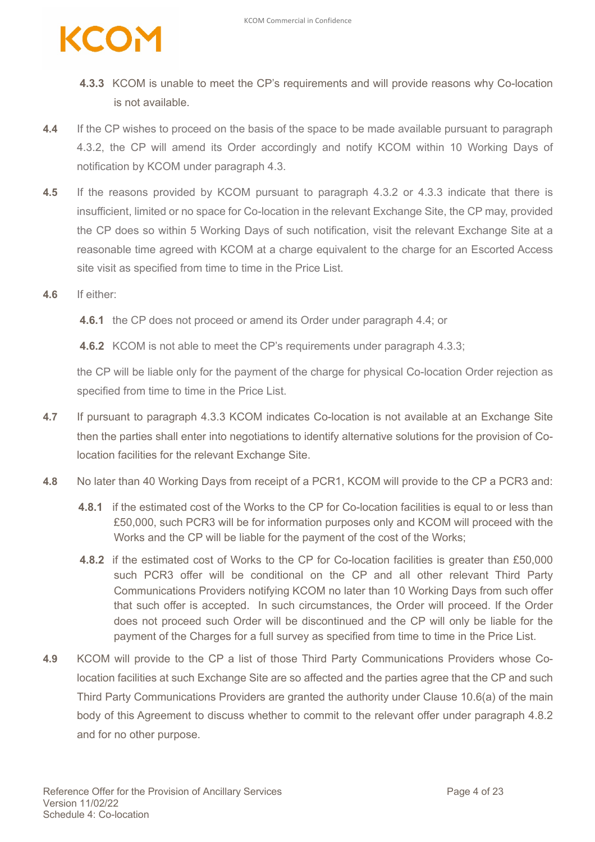

- **4.3.3** KCOM is unable to meet the CP's requirements and will provide reasons why Co-location is not available.
- **4.4** If the CP wishes to proceed on the basis of the space to be made available pursuant to paragraph 4.3.2, the CP will amend its Order accordingly and notify KCOM within 10 Working Days of notification by KCOM under paragraph 4.3.
- **4.5** If the reasons provided by KCOM pursuant to paragraph 4.3.2 or 4.3.3 indicate that there is insufficient, limited or no space for Co-location in the relevant Exchange Site, the CP may, provided the CP does so within 5 Working Days of such notification, visit the relevant Exchange Site at a reasonable time agreed with KCOM at a charge equivalent to the charge for an Escorted Access site visit as specified from time to time in the Price List.
- **4.6** If either:

**4.6.1** the CP does not proceed or amend its Order under paragraph 4.4; or

**4.6.2** KCOM is not able to meet the CP's requirements under paragraph 4.3.3;

the CP will be liable only for the payment of the charge for physical Co-location Order rejection as specified from time to time in the Price List.

- **4.7** If pursuant to paragraph 4.3.3 KCOM indicates Co-location is not available at an Exchange Site then the parties shall enter into negotiations to identify alternative solutions for the provision of Colocation facilities for the relevant Exchange Site.
- **4.8** No later than 40 Working Days from receipt of a PCR1, KCOM will provide to the CP a PCR3 and:
	- **4.8.1** if the estimated cost of the Works to the CP for Co-location facilities is equal to or less than £50,000, such PCR3 will be for information purposes only and KCOM will proceed with the Works and the CP will be liable for the payment of the cost of the Works;
	- **4.8.2** if the estimated cost of Works to the CP for Co-location facilities is greater than £50,000 such PCR3 offer will be conditional on the CP and all other relevant Third Party Communications Providers notifying KCOM no later than 10 Working Days from such offer that such offer is accepted. In such circumstances, the Order will proceed. If the Order does not proceed such Order will be discontinued and the CP will only be liable for the payment of the Charges for a full survey as specified from time to time in the Price List.
- **4.9** KCOM will provide to the CP a list of those Third Party Communications Providers whose Colocation facilities at such Exchange Site are so affected and the parties agree that the CP and such Third Party Communications Providers are granted the authority under Clause 10.6(a) of the main body of this Agreement to discuss whether to commit to the relevant offer under paragraph 4.8.2 and for no other purpose.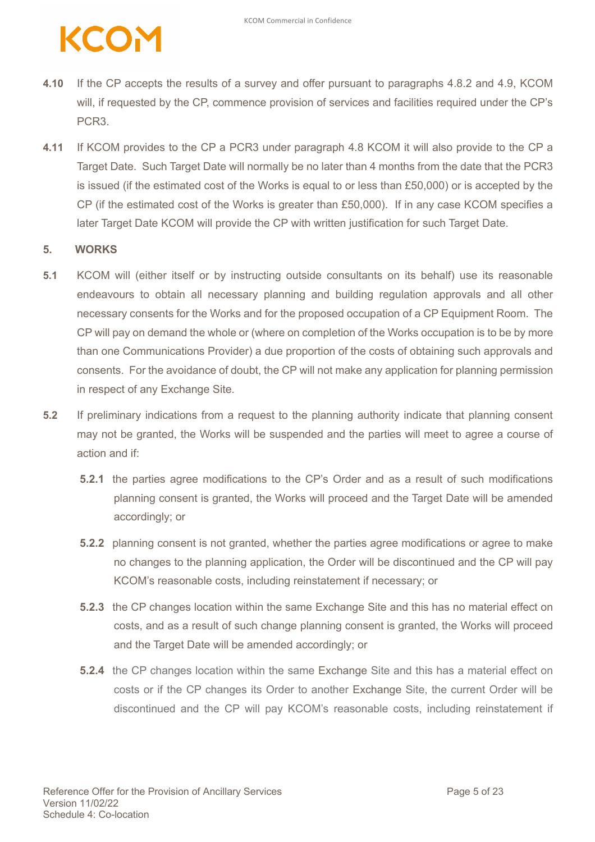- **4.10** If the CP accepts the results of a survey and offer pursuant to paragraphs 4.8.2 and 4.9, KCOM will, if requested by the CP, commence provision of services and facilities required under the CP's PCR3.
- **4.11** If KCOM provides to the CP a PCR3 under paragraph 4.8 KCOM it will also provide to the CP a Target Date. Such Target Date will normally be no later than 4 months from the date that the PCR3 is issued (if the estimated cost of the Works is equal to or less than £50,000) or is accepted by the CP (if the estimated cost of the Works is greater than £50,000). If in any case KCOM specifies a later Target Date KCOM will provide the CP with written justification for such Target Date.

#### **5. WORKS**

- **5.1** KCOM will (either itself or by instructing outside consultants on its behalf) use its reasonable endeavours to obtain all necessary planning and building regulation approvals and all other necessary consents for the Works and for the proposed occupation of a CP Equipment Room. The CP will pay on demand the whole or (where on completion of the Works occupation is to be by more than one Communications Provider) a due proportion of the costs of obtaining such approvals and consents. For the avoidance of doubt, the CP will not make any application for planning permission in respect of any Exchange Site.
- **5.2** If preliminary indications from a request to the planning authority indicate that planning consent may not be granted, the Works will be suspended and the parties will meet to agree a course of action and if:
	- **5.2.1** the parties agree modifications to the CP's Order and as a result of such modifications planning consent is granted, the Works will proceed and the Target Date will be amended accordingly; or
	- **5.2.2** planning consent is not granted, whether the parties agree modifications or agree to make no changes to the planning application, the Order will be discontinued and the CP will pay KCOM's reasonable costs, including reinstatement if necessary; or
	- **5.2.3** the CP changes location within the same Exchange Site and this has no material effect on costs, and as a result of such change planning consent is granted, the Works will proceed and the Target Date will be amended accordingly; or
	- **5.2.4** the CP changes location within the same Exchange Site and this has a material effect on costs or if the CP changes its Order to another Exchange Site, the current Order will be discontinued and the CP will pay KCOM's reasonable costs, including reinstatement if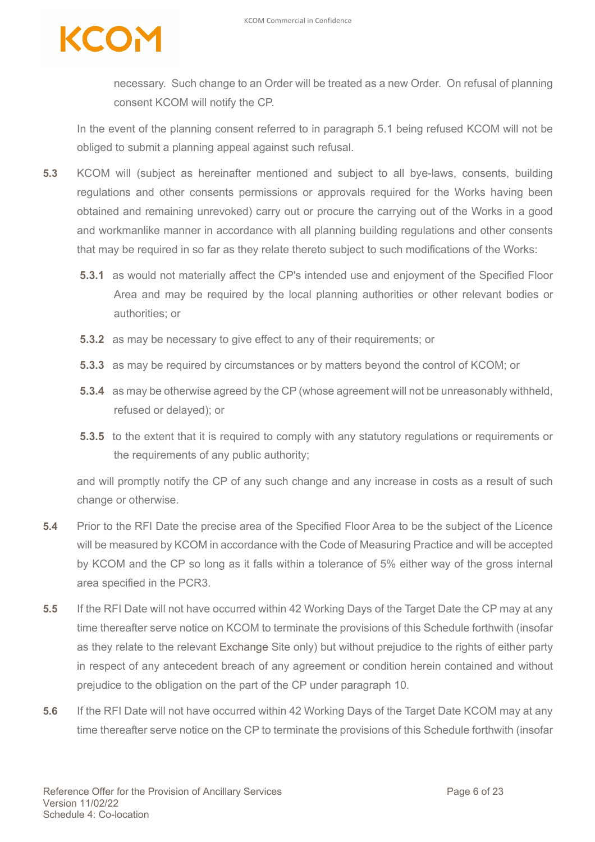necessary. Such change to an Order will be treated as a new Order. On refusal of planning consent KCOM will notify the CP.

In the event of the planning consent referred to in paragraph 5.1 being refused KCOM will not be obliged to submit a planning appeal against such refusal.

- **5.3** KCOM will (subject as hereinafter mentioned and subject to all bye-laws, consents, building regulations and other consents permissions or approvals required for the Works having been obtained and remaining unrevoked) carry out or procure the carrying out of the Works in a good and workmanlike manner in accordance with all planning building regulations and other consents that may be required in so far as they relate thereto subject to such modifications of the Works:
	- **5.3.1** as would not materially affect the CP's intended use and enjoyment of the Specified Floor Area and may be required by the local planning authorities or other relevant bodies or authorities; or
	- **5.3.2** as may be necessary to give effect to any of their requirements; or
	- **5.3.3** as may be required by circumstances or by matters beyond the control of KCOM; or
	- **5.3.4** as may be otherwise agreed by the CP (whose agreement will not be unreasonably withheld, refused or delayed); or
	- **5.3.5** to the extent that it is required to comply with any statutory regulations or requirements or the requirements of any public authority;

and will promptly notify the CP of any such change and any increase in costs as a result of such change or otherwise.

- **5.4** Prior to the RFI Date the precise area of the Specified Floor Area to be the subject of the Licence will be measured by KCOM in accordance with the Code of Measuring Practice and will be accepted by KCOM and the CP so long as it falls within a tolerance of 5% either way of the gross internal area specified in the PCR3.
- **5.5** If the RFI Date will not have occurred within 42 Working Days of the Target Date the CP may at any time thereafter serve notice on KCOM to terminate the provisions of this Schedule forthwith (insofar as they relate to the relevant Exchange Site only) but without prejudice to the rights of either party in respect of any antecedent breach of any agreement or condition herein contained and without prejudice to the obligation on the part of the CP under paragraph 10.
- **5.6** If the RFI Date will not have occurred within 42 Working Days of the Target Date KCOM may at any time thereafter serve notice on the CP to terminate the provisions of this Schedule forthwith (insofar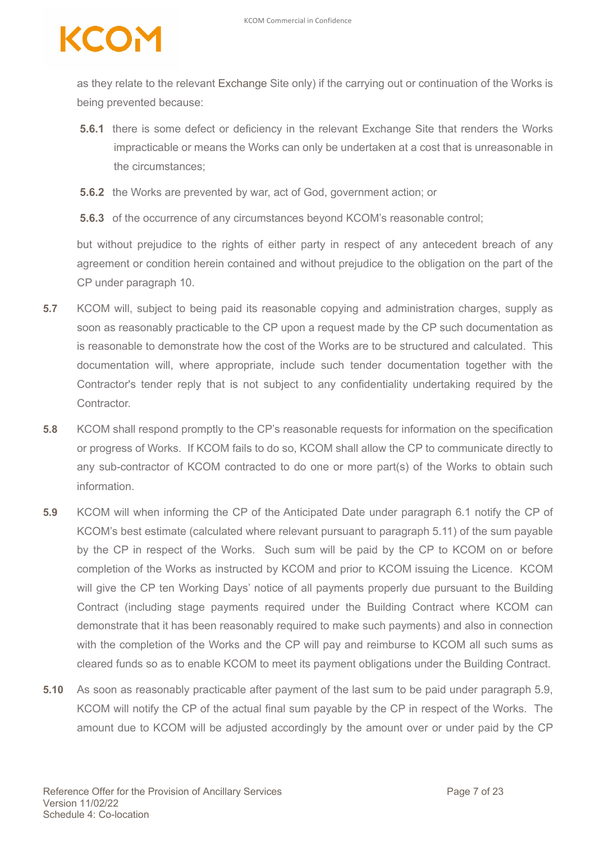### COM

as they relate to the relevant Exchange Site only) if the carrying out or continuation of the Works is being prevented because:

- **5.6.1** there is some defect or deficiency in the relevant Exchange Site that renders the Works impracticable or means the Works can only be undertaken at a cost that is unreasonable in the circumstances;
- **5.6.2** the Works are prevented by war, act of God, government action; or
- **5.6.3** of the occurrence of any circumstances beyond KCOM's reasonable control;

but without prejudice to the rights of either party in respect of any antecedent breach of any agreement or condition herein contained and without prejudice to the obligation on the part of the CP under paragraph 10.

- **5.7** KCOM will, subject to being paid its reasonable copying and administration charges, supply as soon as reasonably practicable to the CP upon a request made by the CP such documentation as is reasonable to demonstrate how the cost of the Works are to be structured and calculated. This documentation will, where appropriate, include such tender documentation together with the Contractor's tender reply that is not subject to any confidentiality undertaking required by the Contractor.
- **5.8** KCOM shall respond promptly to the CP's reasonable requests for information on the specification or progress of Works. If KCOM fails to do so, KCOM shall allow the CP to communicate directly to any sub-contractor of KCOM contracted to do one or more part(s) of the Works to obtain such information.
- **5.9** KCOM will when informing the CP of the Anticipated Date under paragraph 6.1 notify the CP of KCOM's best estimate (calculated where relevant pursuant to paragraph 5.11) of the sum payable by the CP in respect of the Works. Such sum will be paid by the CP to KCOM on or before completion of the Works as instructed by KCOM and prior to KCOM issuing the Licence. KCOM will give the CP ten Working Days' notice of all payments properly due pursuant to the Building Contract (including stage payments required under the Building Contract where KCOM can demonstrate that it has been reasonably required to make such payments) and also in connection with the completion of the Works and the CP will pay and reimburse to KCOM all such sums as cleared funds so as to enable KCOM to meet its payment obligations under the Building Contract.
- **5.10** As soon as reasonably practicable after payment of the last sum to be paid under paragraph 5.9, KCOM will notify the CP of the actual final sum payable by the CP in respect of the Works. The amount due to KCOM will be adjusted accordingly by the amount over or under paid by the CP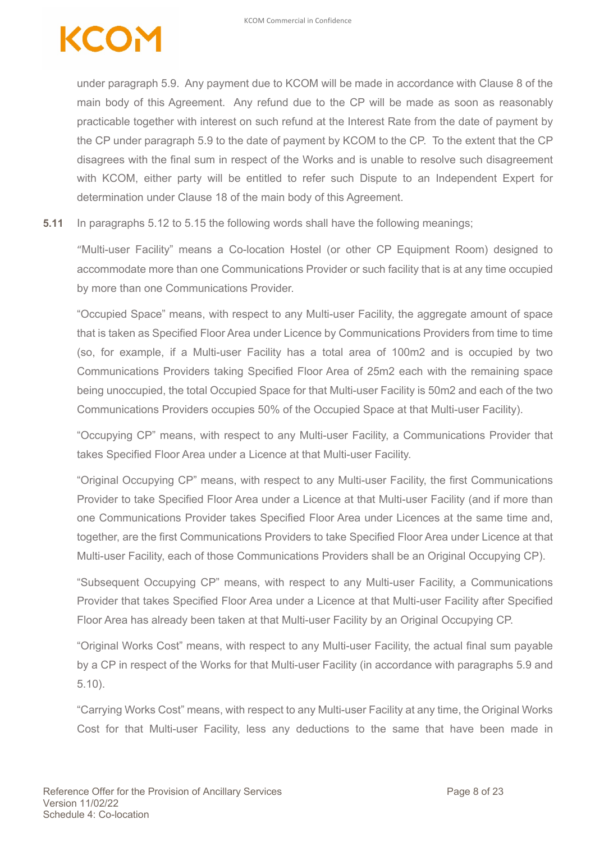under paragraph 5.9. Any payment due to KCOM will be made in accordance with Clause 8 of the main body of this Agreement. Any refund due to the CP will be made as soon as reasonably practicable together with interest on such refund at the Interest Rate from the date of payment by the CP under paragraph 5.9 to the date of payment by KCOM to the CP. To the extent that the CP disagrees with the final sum in respect of the Works and is unable to resolve such disagreement with KCOM, either party will be entitled to refer such Dispute to an Independent Expert for determination under Clause 18 of the main body of this Agreement.

**5.11** In paragraphs 5.12 to 5.15 the following words shall have the following meanings;

"Multi-user Facility" means a Co-location Hostel (or other CP Equipment Room) designed to accommodate more than one Communications Provider or such facility that is at any time occupied by more than one Communications Provider.

"Occupied Space" means, with respect to any Multi-user Facility, the aggregate amount of space that is taken as Specified Floor Area under Licence by Communications Providers from time to time (so, for example, if a Multi-user Facility has a total area of 100m2 and is occupied by two Communications Providers taking Specified Floor Area of 25m2 each with the remaining space being unoccupied, the total Occupied Space for that Multi-user Facility is 50m2 and each of the two Communications Providers occupies 50% of the Occupied Space at that Multi-user Facility).

"Occupying CP" means, with respect to any Multi-user Facility, a Communications Provider that takes Specified Floor Area under a Licence at that Multi-user Facility.

"Original Occupying CP" means, with respect to any Multi-user Facility, the first Communications Provider to take Specified Floor Area under a Licence at that Multi-user Facility (and if more than one Communications Provider takes Specified Floor Area under Licences at the same time and, together, are the first Communications Providers to take Specified Floor Area under Licence at that Multi-user Facility, each of those Communications Providers shall be an Original Occupying CP).

"Subsequent Occupying CP" means, with respect to any Multi-user Facility, a Communications Provider that takes Specified Floor Area under a Licence at that Multi-user Facility after Specified Floor Area has already been taken at that Multi-user Facility by an Original Occupying CP.

"Original Works Cost" means, with respect to any Multi-user Facility, the actual final sum payable by a CP in respect of the Works for that Multi-user Facility (in accordance with paragraphs 5.9 and 5.10).

"Carrying Works Cost" means, with respect to any Multi-user Facility at any time, the Original Works Cost for that Multi-user Facility, less any deductions to the same that have been made in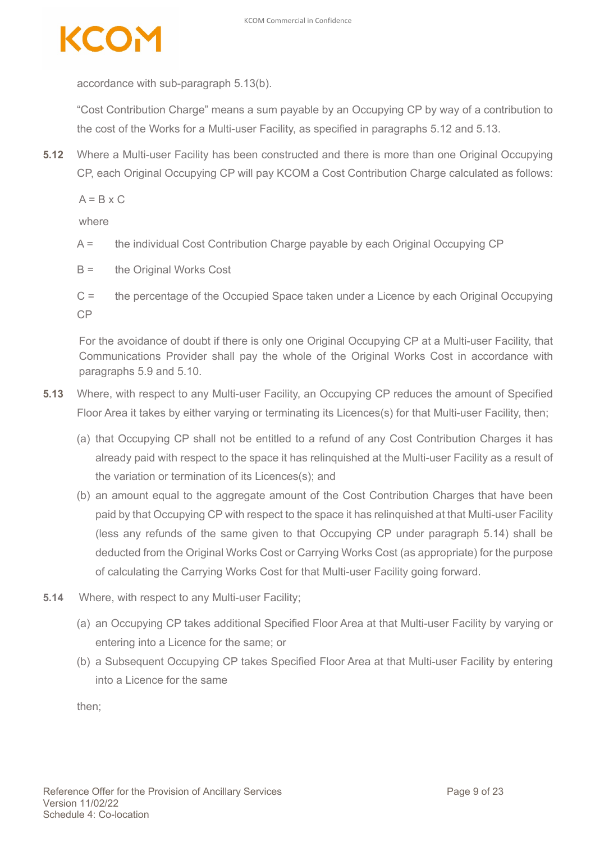

accordance with sub-paragraph 5.13(b).

"Cost Contribution Charge" means a sum payable by an Occupying CP by way of a contribution to the cost of the Works for a Multi-user Facility, as specified in paragraphs 5.12 and 5.13.

**5.12** Where a Multi-user Facility has been constructed and there is more than one Original Occupying CP, each Original Occupying CP will pay KCOM a Cost Contribution Charge calculated as follows:

 $A = B \times C$ 

where

- A = the individual Cost Contribution Charge payable by each Original Occupying CP
- B = the Original Works Cost
- C = the percentage of the Occupied Space taken under a Licence by each Original Occupying CP

For the avoidance of doubt if there is only one Original Occupying CP at a Multi-user Facility, that Communications Provider shall pay the whole of the Original Works Cost in accordance with paragraphs 5.9 and 5.10.

- **5.13** Where, with respect to any Multi-user Facility, an Occupying CP reduces the amount of Specified Floor Area it takes by either varying or terminating its Licences(s) for that Multi-user Facility, then;
	- (a) that Occupying CP shall not be entitled to a refund of any Cost Contribution Charges it has already paid with respect to the space it has relinquished at the Multi-user Facility as a result of the variation or termination of its Licences(s); and
	- (b) an amount equal to the aggregate amount of the Cost Contribution Charges that have been paid by that Occupying CP with respect to the space it has relinquished at that Multi-user Facility (less any refunds of the same given to that Occupying CP under paragraph 5.14) shall be deducted from the Original Works Cost or Carrying Works Cost (as appropriate) for the purpose of calculating the Carrying Works Cost for that Multi-user Facility going forward.
- **5.14** Where, with respect to any Multi-user Facility;
	- (a) an Occupying CP takes additional Specified Floor Area at that Multi-user Facility by varying or entering into a Licence for the same; or
	- (b) a Subsequent Occupying CP takes Specified Floor Area at that Multi-user Facility by entering into a Licence for the same

then;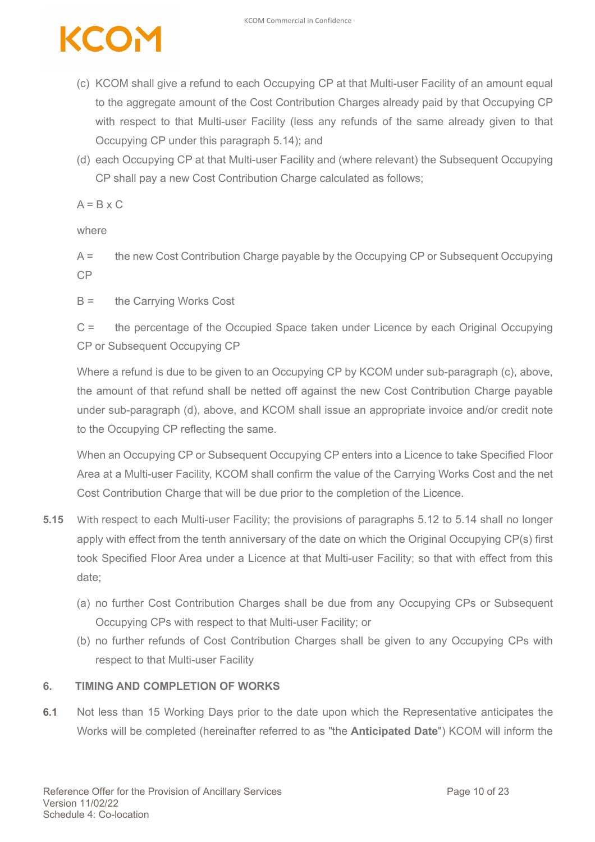# **ener**

- (c) KCOM shall give a refund to each Occupying CP at that Multi-user Facility of an amount equal to the aggregate amount of the Cost Contribution Charges already paid by that Occupying CP with respect to that Multi-user Facility (less any refunds of the same already given to that Occupying CP under this paragraph 5.14); and
- (d) each Occupying CP at that Multi-user Facility and (where relevant) the Subsequent Occupying CP shall pay a new Cost Contribution Charge calculated as follows;

 $A = B \times C$ 

where

A = the new Cost Contribution Charge payable by the Occupying CP or Subsequent Occupying CP

B = the Carrying Works Cost

C = the percentage of the Occupied Space taken under Licence by each Original Occupying CP or Subsequent Occupying CP

Where a refund is due to be given to an Occupying CP by KCOM under sub-paragraph (c), above, the amount of that refund shall be netted off against the new Cost Contribution Charge payable under sub-paragraph (d), above, and KCOM shall issue an appropriate invoice and/or credit note to the Occupying CP reflecting the same.

When an Occupying CP or Subsequent Occupying CP enters into a Licence to take Specified Floor Area at a Multi-user Facility, KCOM shall confirm the value of the Carrying Works Cost and the net Cost Contribution Charge that will be due prior to the completion of the Licence.

- **5.15** With respect to each Multi-user Facility; the provisions of paragraphs 5.12 to 5.14 shall no longer apply with effect from the tenth anniversary of the date on which the Original Occupying CP(s) first took Specified Floor Area under a Licence at that Multi-user Facility; so that with effect from this date;
	- (a) no further Cost Contribution Charges shall be due from any Occupying CPs or Subsequent Occupying CPs with respect to that Multi-user Facility; or
	- (b) no further refunds of Cost Contribution Charges shall be given to any Occupying CPs with respect to that Multi-user Facility

#### **6. TIMING AND COMPLETION OF WORKS**

**6.1** Not less than 15 Working Days prior to the date upon which the Representative anticipates the Works will be completed (hereinafter referred to as "the **Anticipated Date**") KCOM will inform the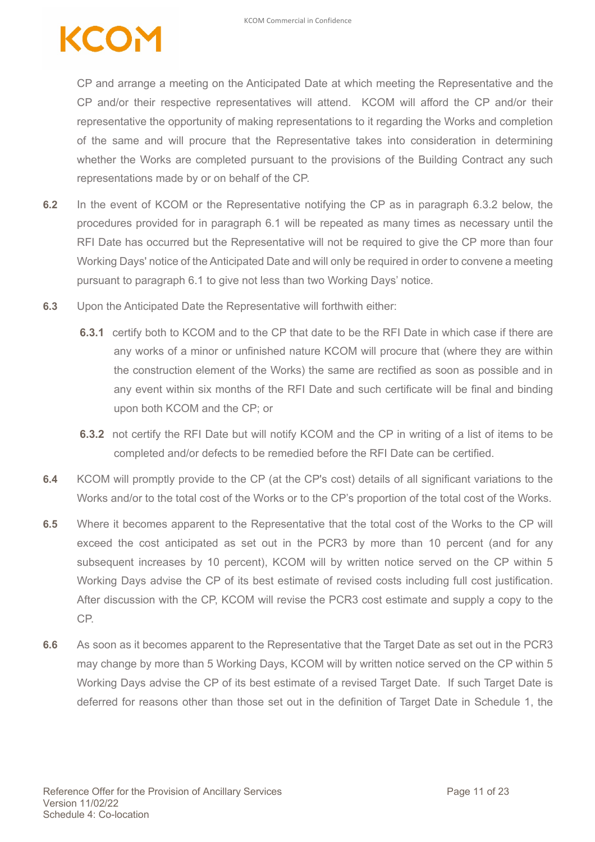CP and arrange a meeting on the Anticipated Date at which meeting the Representative and the CP and/or their respective representatives will attend. KCOM will afford the CP and/or their representative the opportunity of making representations to it regarding the Works and completion of the same and will procure that the Representative takes into consideration in determining whether the Works are completed pursuant to the provisions of the Building Contract any such representations made by or on behalf of the CP.

- **6.2** In the event of KCOM or the Representative notifying the CP as in paragraph 6.3.2 below, the procedures provided for in paragraph 6.1 will be repeated as many times as necessary until the RFI Date has occurred but the Representative will not be required to give the CP more than four Working Days' notice of the Anticipated Date and will only be required in order to convene a meeting pursuant to paragraph 6.1 to give not less than two Working Days' notice.
- **6.3** Upon the Anticipated Date the Representative will forthwith either:
	- **6.3.1** certify both to KCOM and to the CP that date to be the RFI Date in which case if there are any works of a minor or unfinished nature KCOM will procure that (where they are within the construction element of the Works) the same are rectified as soon as possible and in any event within six months of the RFI Date and such certificate will be final and binding upon both KCOM and the CP; or
	- **6.3.2** not certify the RFI Date but will notify KCOM and the CP in writing of a list of items to be completed and/or defects to be remedied before the RFI Date can be certified.
- **6.4** KCOM will promptly provide to the CP (at the CP's cost) details of all significant variations to the Works and/or to the total cost of the Works or to the CP's proportion of the total cost of the Works.
- **6.5** Where it becomes apparent to the Representative that the total cost of the Works to the CP will exceed the cost anticipated as set out in the PCR3 by more than 10 percent (and for any subsequent increases by 10 percent), KCOM will by written notice served on the CP within 5 Working Days advise the CP of its best estimate of revised costs including full cost justification. After discussion with the CP, KCOM will revise the PCR3 cost estimate and supply a copy to the CP.
- **6.6** As soon as it becomes apparent to the Representative that the Target Date as set out in the PCR3 may change by more than 5 Working Days, KCOM will by written notice served on the CP within 5 Working Days advise the CP of its best estimate of a revised Target Date. If such Target Date is deferred for reasons other than those set out in the definition of Target Date in Schedule 1, the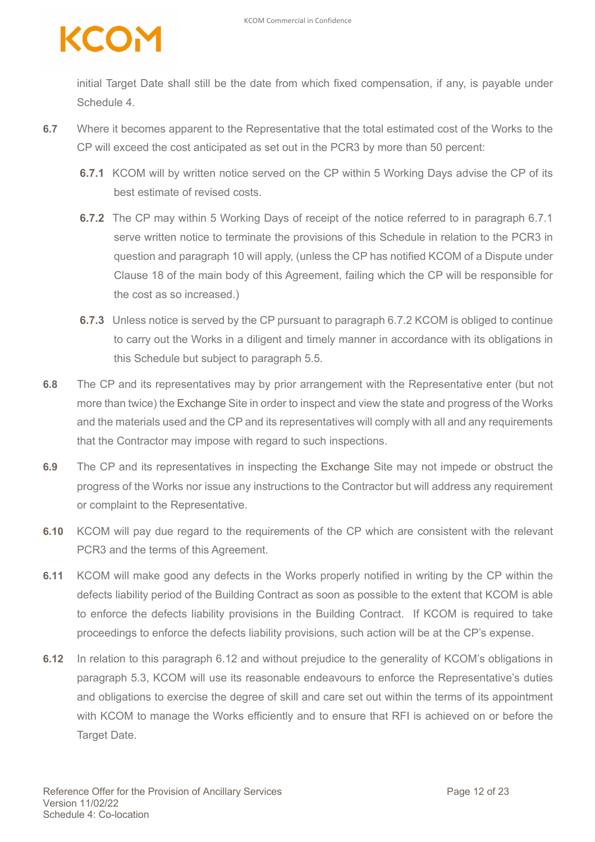### COM

initial Target Date shall still be the date from which fixed compensation, if any, is payable under Schedule 4.

- **6.7** Where it becomes apparent to the Representative that the total estimated cost of the Works to the CP will exceed the cost anticipated as set out in the PCR3 by more than 50 percent:
	- **6.7.1** KCOM will by written notice served on the CP within 5 Working Days advise the CP of its best estimate of revised costs.
	- **6.7.2** The CP may within 5 Working Days of receipt of the notice referred to in paragraph 6.7.1 serve written notice to terminate the provisions of this Schedule in relation to the PCR3 in question and paragraph 10 will apply, (unless the CP has notified KCOM of a Dispute under Clause 18 of the main body of this Agreement, failing which the CP will be responsible for the cost as so increased.)
	- **6.7.3** Unless notice is served by the CP pursuant to paragraph 6.7.2 KCOM is obliged to continue to carry out the Works in a diligent and timely manner in accordance with its obligations in this Schedule but subject to paragraph 5.5.
- **6.8** The CP and its representatives may by prior arrangement with the Representative enter (but not more than twice) the Exchange Site in order to inspect and view the state and progress of the Works and the materials used and the CP and its representatives will comply with all and any requirements that the Contractor may impose with regard to such inspections.
- **6.9** The CP and its representatives in inspecting the Exchange Site may not impede or obstruct the progress of the Works nor issue any instructions to the Contractor but will address any requirement or complaint to the Representative.
- **6.10** KCOM will pay due regard to the requirements of the CP which are consistent with the relevant PCR3 and the terms of this Agreement.
- **6.11** KCOM will make good any defects in the Works properly notified in writing by the CP within the defects liability period of the Building Contract as soon as possible to the extent that KCOM is able to enforce the defects liability provisions in the Building Contract. If KCOM is required to take proceedings to enforce the defects liability provisions, such action will be at the CP's expense.
- **6.12** In relation to this paragraph 6.12 and without prejudice to the generality of KCOM's obligations in paragraph 5.3, KCOM will use its reasonable endeavours to enforce the Representative's duties and obligations to exercise the degree of skill and care set out within the terms of its appointment with KCOM to manage the Works efficiently and to ensure that RFI is achieved on or before the **Target Date.**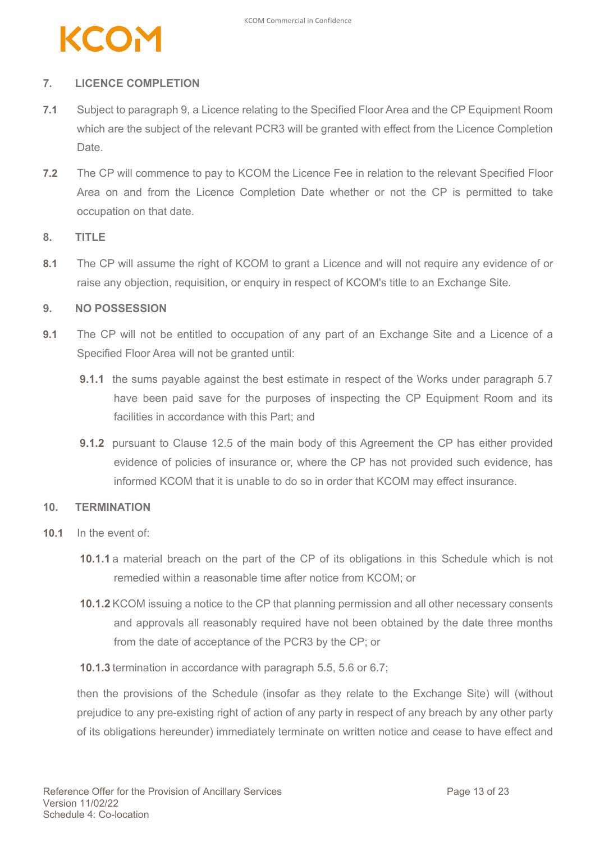

#### **7. LICENCE COMPLETION**

- **7.1** Subject to paragraph 9, a Licence relating to the Specified Floor Area and the CP Equipment Room which are the subject of the relevant PCR3 will be granted with effect from the Licence Completion Date.
- **7.2** The CP will commence to pay to KCOM the Licence Fee in relation to the relevant Specified Floor Area on and from the Licence Completion Date whether or not the CP is permitted to take occupation on that date.

#### **8. TITLE**

**8.1** The CP will assume the right of KCOM to grant a Licence and will not require any evidence of or raise any objection, requisition, or enquiry in respect of KCOM's title to an Exchange Site.

#### **9. NO POSSESSION**

- **9.1** The CP will not be entitled to occupation of any part of an Exchange Site and a Licence of a Specified Floor Area will not be granted until:
	- **9.1.1** the sums payable against the best estimate in respect of the Works under paragraph 5.7 have been paid save for the purposes of inspecting the CP Equipment Room and its facilities in accordance with this Part; and
	- **9.1.2** pursuant to Clause 12.5 of the main body of this Agreement the CP has either provided evidence of policies of insurance or, where the CP has not provided such evidence, has informed KCOM that it is unable to do so in order that KCOM may effect insurance.

#### **10. TERMINATION**

- **10.1** In the event of:
	- **10.1.1** a material breach on the part of the CP of its obligations in this Schedule which is not remedied within a reasonable time after notice from KCOM; or
	- **10.1.2** KCOM issuing a notice to the CP that planning permission and all other necessary consents and approvals all reasonably required have not been obtained by the date three months from the date of acceptance of the PCR3 by the CP; or
	- **10.1.3** termination in accordance with paragraph 5.5, 5.6 or 6.7;

then the provisions of the Schedule (insofar as they relate to the Exchange Site) will (without prejudice to any pre-existing right of action of any party in respect of any breach by any other party of its obligations hereunder) immediately terminate on written notice and cease to have effect and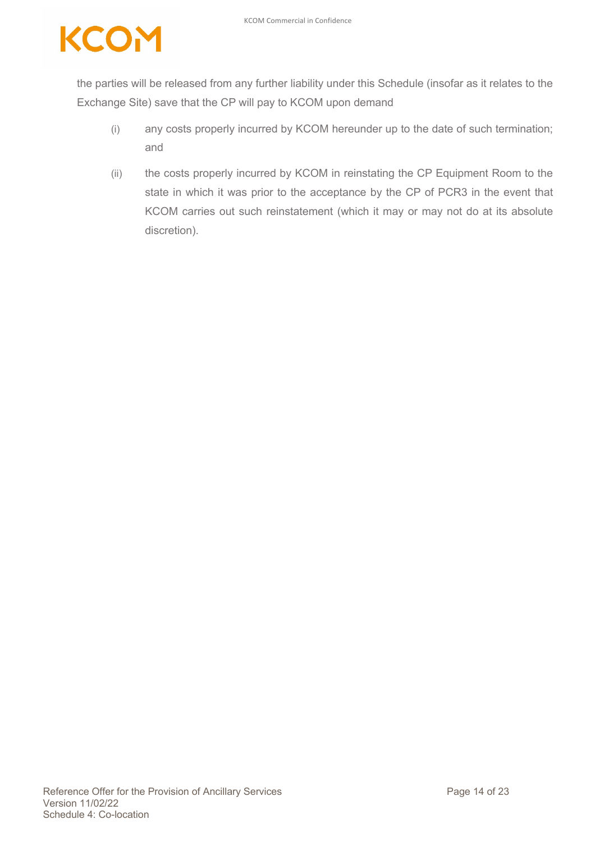the parties will be released from any further liability under this Schedule (insofar as it relates to the Exchange Site) save that the CP will pay to KCOM upon demand

- (i) any costs properly incurred by KCOM hereunder up to the date of such termination; and
- (ii) the costs properly incurred by KCOM in reinstating the CP Equipment Room to the state in which it was prior to the acceptance by the CP of PCR3 in the event that KCOM carries out such reinstatement (which it may or may not do at its absolute discretion).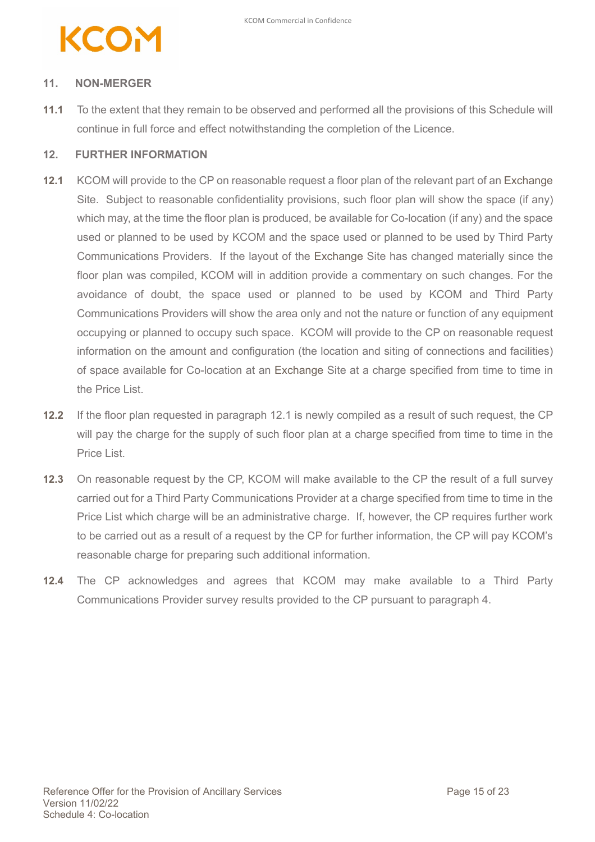### KCO

#### **11. NON-MERGER**

**11.1** To the extent that they remain to be observed and performed all the provisions of this Schedule will continue in full force and effect notwithstanding the completion of the Licence.

#### **12. FURTHER INFORMATION**

- **12.1** KCOM will provide to the CP on reasonable request a floor plan of the relevant part of an Exchange Site. Subject to reasonable confidentiality provisions, such floor plan will show the space (if any) which may, at the time the floor plan is produced, be available for Co-location (if any) and the space used or planned to be used by KCOM and the space used or planned to be used by Third Party Communications Providers. If the layout of the Exchange Site has changed materially since the floor plan was compiled, KCOM will in addition provide a commentary on such changes. For the avoidance of doubt, the space used or planned to be used by KCOM and Third Party Communications Providers will show the area only and not the nature or function of any equipment occupying or planned to occupy such space. KCOM will provide to the CP on reasonable request information on the amount and configuration (the location and siting of connections and facilities) of space available for Co-location at an Exchange Site at a charge specified from time to time in the Price List.
- **12.2** If the floor plan requested in paragraph 12.1 is newly compiled as a result of such request, the CP will pay the charge for the supply of such floor plan at a charge specified from time to time in the Price List.
- **12.3** On reasonable request by the CP, KCOM will make available to the CP the result of a full survey carried out for a Third Party Communications Provider at a charge specified from time to time in the Price List which charge will be an administrative charge. If, however, the CP requires further work to be carried out as a result of a request by the CP for further information, the CP will pay KCOM's reasonable charge for preparing such additional information.
- **12.4** The CP acknowledges and agrees that KCOM may make available to a Third Party Communications Provider survey results provided to the CP pursuant to paragraph 4.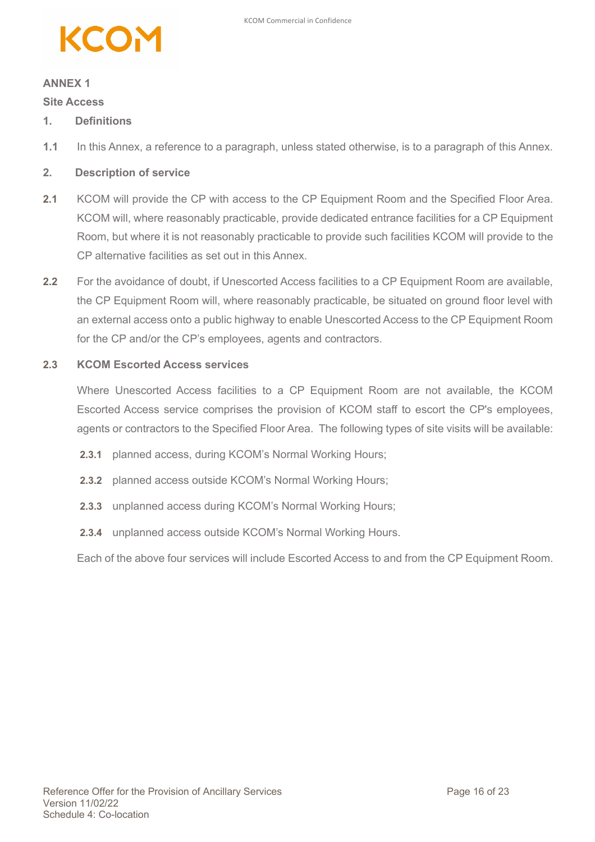

#### **ANNEX 1**

#### **Site Access**

- **1. Definitions**
- **1.1** In this Annex, a reference to a paragraph, unless stated otherwise, is to a paragraph of this Annex.
- **2. Description of service**
- **2.1** KCOM will provide the CP with access to the CP Equipment Room and the Specified Floor Area. KCOM will, where reasonably practicable, provide dedicated entrance facilities for a CP Equipment Room, but where it is not reasonably practicable to provide such facilities KCOM will provide to the CP alternative facilities as set out in this Annex.
- **2.2** For the avoidance of doubt, if Unescorted Access facilities to a CP Equipment Room are available, the CP Equipment Room will, where reasonably practicable, be situated on ground floor level with an external access onto a public highway to enable Unescorted Access to the CP Equipment Room for the CP and/or the CP's employees, agents and contractors.

#### **2.3 KCOM Escorted Access services**

Where Unescorted Access facilities to a CP Equipment Room are not available, the KCOM Escorted Access service comprises the provision of KCOM staff to escort the CP's employees, agents or contractors to the Specified Floor Area. The following types of site visits will be available:

- **2.3.1** planned access, during KCOM's Normal Working Hours;
- **2.3.2** planned access outside KCOM's Normal Working Hours;
- **2.3.3** unplanned access during KCOM's Normal Working Hours;
- **2.3.4** unplanned access outside KCOM's Normal Working Hours.

Each of the above four services will include Escorted Access to and from the CP Equipment Room.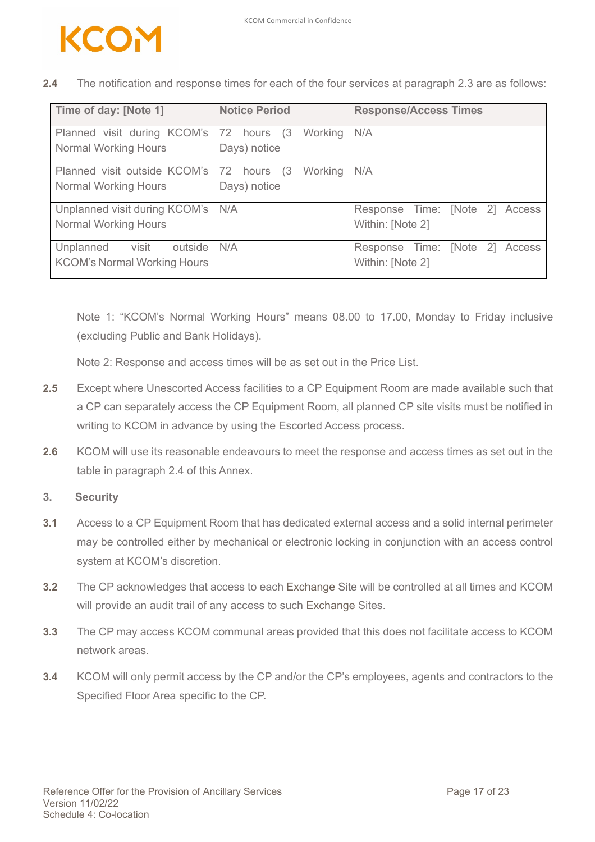

| Time of day: [Note 1]                                               | <b>Notice Period</b>                    | <b>Response/Access Times</b>                             |
|---------------------------------------------------------------------|-----------------------------------------|----------------------------------------------------------|
| Planned visit during KCOM's<br><b>Normal Working Hours</b>          | 72 hours (3)<br>Working<br>Days) notice | N/A                                                      |
| Planned visit outside KCOM's<br><b>Normal Working Hours</b>         | 72 hours (3)<br>Working<br>Days) notice | N/A                                                      |
| Unplanned visit during KCOM's<br><b>Normal Working Hours</b>        | N/A                                     | Response Time: [Note 2] Access<br>Within: [Note 2]       |
| visit<br>Unplanned<br>outside<br><b>KCOM's Normal Working Hours</b> | N/A                                     | [Note 2]<br>Response Time:<br>Access<br>Within: [Note 2] |

**2.4** The notification and response times for each of the four services at paragraph 2.3 are as follows:

Note 1: "KCOM's Normal Working Hours" means 08.00 to 17.00, Monday to Friday inclusive (excluding Public and Bank Holidays).

Note 2: Response and access times will be as set out in the Price List.

- **2.5** Except where Unescorted Access facilities to a CP Equipment Room are made available such that a CP can separately access the CP Equipment Room, all planned CP site visits must be notified in writing to KCOM in advance by using the Escorted Access process.
- **2.6** KCOM will use its reasonable endeavours to meet the response and access times as set out in the table in paragraph 2.4 of this Annex.
- **3. Security**
- **3.1** Access to a CP Equipment Room that has dedicated external access and a solid internal perimeter may be controlled either by mechanical or electronic locking in conjunction with an access control system at KCOM's discretion.
- **3.2** The CP acknowledges that access to each Exchange Site will be controlled at all times and KCOM will provide an audit trail of any access to such Exchange Sites.
- **3.3** The CP may access KCOM communal areas provided that this does not facilitate access to KCOM network areas.
- **3.4** KCOM will only permit access by the CP and/or the CP's employees, agents and contractors to the Specified Floor Area specific to the CP.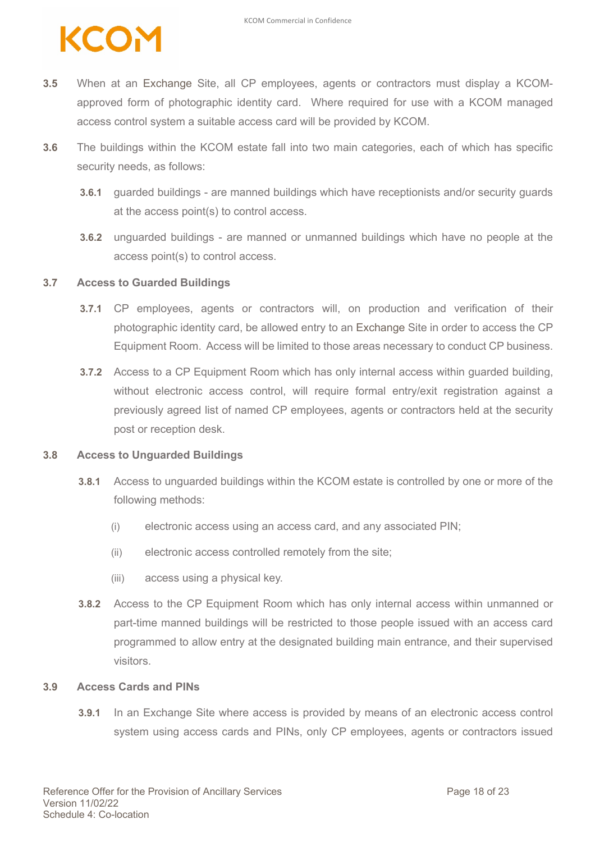### KCO

- **3.5** When at an Exchange Site, all CP employees, agents or contractors must display a KCOMapproved form of photographic identity card. Where required for use with a KCOM managed access control system a suitable access card will be provided by KCOM.
- **3.6** The buildings within the KCOM estate fall into two main categories, each of which has specific security needs, as follows:
	- **3.6.1** guarded buildings are manned buildings which have receptionists and/or security guards at the access point(s) to control access.
	- **3.6.2** unguarded buildings are manned or unmanned buildings which have no people at the access point(s) to control access.

#### **3.7 Access to Guarded Buildings**

- **3.7.1** CP employees, agents or contractors will, on production and verification of their photographic identity card, be allowed entry to an Exchange Site in order to access the CP Equipment Room. Access will be limited to those areas necessary to conduct CP business.
- **3.7.2** Access to a CP Equipment Room which has only internal access within guarded building, without electronic access control, will require formal entry/exit registration against a previously agreed list of named CP employees, agents or contractors held at the security post or reception desk.

#### **3.8 Access to Unguarded Buildings**

- **3.8.1** Access to unguarded buildings within the KCOM estate is controlled by one or more of the following methods:
	- (i) electronic access using an access card, and any associated PIN;
	- (ii) electronic access controlled remotely from the site;
	- (iii) access using a physical key.
- **3.8.2** Access to the CP Equipment Room which has only internal access within unmanned or part-time manned buildings will be restricted to those people issued with an access card programmed to allow entry at the designated building main entrance, and their supervised visitors.

#### **3.9 Access Cards and PINs**

**3.9.1** In an Exchange Site where access is provided by means of an electronic access control system using access cards and PINs, only CP employees, agents or contractors issued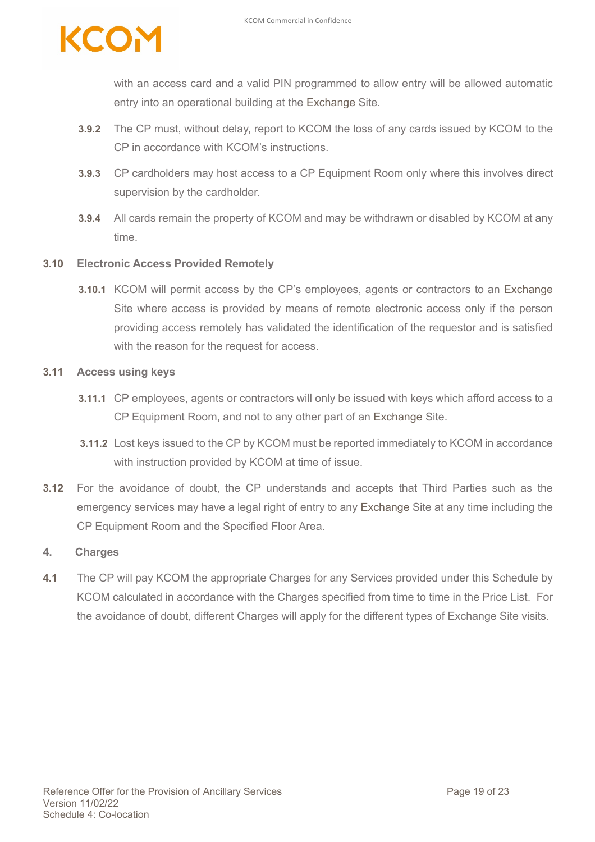

with an access card and a valid PIN programmed to allow entry will be allowed automatic entry into an operational building at the Exchange Site.

- **3.9.2** The CP must, without delay, report to KCOM the loss of any cards issued by KCOM to the CP in accordance with KCOM's instructions.
- **3.9.3** CP cardholders may host access to a CP Equipment Room only where this involves direct supervision by the cardholder.
- **3.9.4** All cards remain the property of KCOM and may be withdrawn or disabled by KCOM at any time.

#### **3.10 Electronic Access Provided Remotely**

**3.10.1** KCOM will permit access by the CP's employees, agents or contractors to an Exchange Site where access is provided by means of remote electronic access only if the person providing access remotely has validated the identification of the requestor and is satisfied with the reason for the request for access.

#### **3.11 Access using keys**

- **3.11.1** CP employees, agents or contractors will only be issued with keys which afford access to a CP Equipment Room, and not to any other part of an Exchange Site.
- **3.11.2** Lost keys issued to the CP by KCOM must be reported immediately to KCOM in accordance with instruction provided by KCOM at time of issue.
- **3.12** For the avoidance of doubt, the CP understands and accepts that Third Parties such as the emergency services may have a legal right of entry to any Exchange Site at any time including the CP Equipment Room and the Specified Floor Area.

#### **4. Charges**

**4.1** The CP will pay KCOM the appropriate Charges for any Services provided under this Schedule by KCOM calculated in accordance with the Charges specified from time to time in the Price List. For the avoidance of doubt, different Charges will apply for the different types of Exchange Site visits.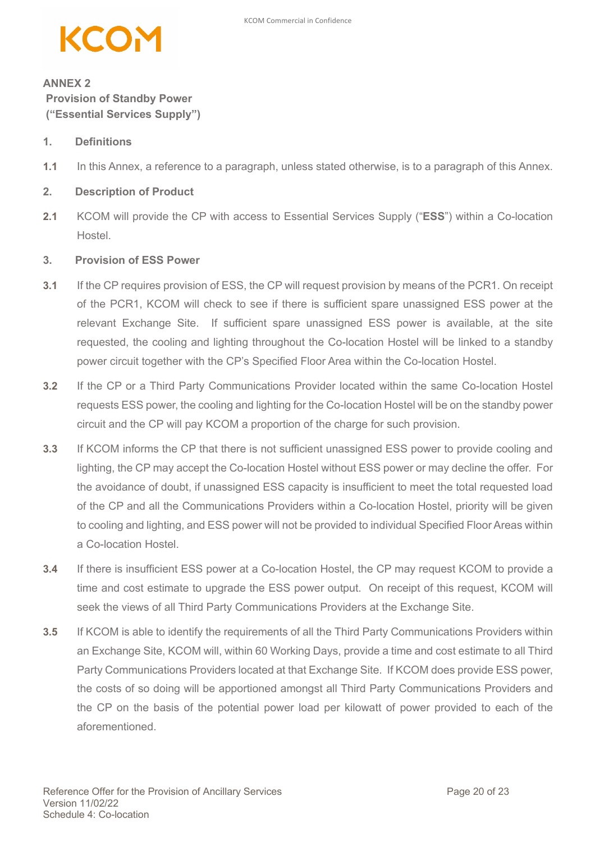

### **ANNEX 2 Provision of Standby Power ("Essential Services Supply")**

#### **1. Definitions**

**1.1** In this Annex, a reference to a paragraph, unless stated otherwise, is to a paragraph of this Annex.

#### **2. Description of Product**

**2.1** KCOM will provide the CP with access to Essential Services Supply ("**ESS**") within a Co-location Hostel.

#### **3. Provision of ESS Power**

- **3.1** If the CP requires provision of ESS, the CP will request provision by means of the PCR1. On receipt of the PCR1, KCOM will check to see if there is sufficient spare unassigned ESS power at the relevant Exchange Site. If sufficient spare unassigned ESS power is available, at the site requested, the cooling and lighting throughout the Co-location Hostel will be linked to a standby power circuit together with the CP's Specified Floor Area within the Co-location Hostel.
- **3.2** If the CP or a Third Party Communications Provider located within the same Co-location Hostel requests ESS power, the cooling and lighting for the Co-location Hostel will be on the standby power circuit and the CP will pay KCOM a proportion of the charge for such provision.
- **3.3** If KCOM informs the CP that there is not sufficient unassigned ESS power to provide cooling and lighting, the CP may accept the Co-location Hostel without ESS power or may decline the offer. For the avoidance of doubt, if unassigned ESS capacity is insufficient to meet the total requested load of the CP and all the Communications Providers within a Co-location Hostel, priority will be given to cooling and lighting, and ESS power will not be provided to individual Specified Floor Areas within a Co-location Hostel.
- **3.4** If there is insufficient ESS power at a Co-location Hostel, the CP may request KCOM to provide a time and cost estimate to upgrade the ESS power output. On receipt of this request, KCOM will seek the views of all Third Party Communications Providers at the Exchange Site.
- **3.5** If KCOM is able to identify the requirements of all the Third Party Communications Providers within an Exchange Site, KCOM will, within 60 Working Days, provide a time and cost estimate to all Third Party Communications Providers located at that Exchange Site. If KCOM does provide ESS power, the costs of so doing will be apportioned amongst all Third Party Communications Providers and the CP on the basis of the potential power load per kilowatt of power provided to each of the aforementioned.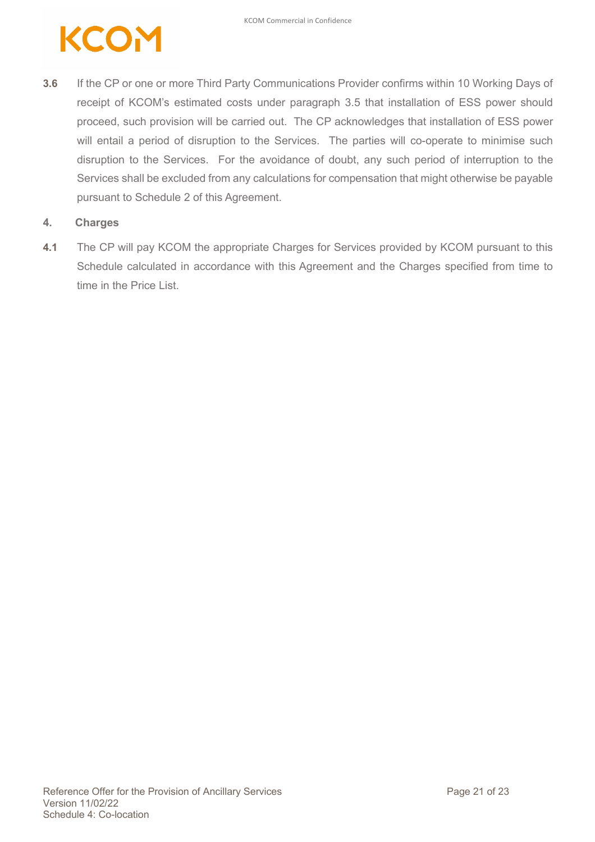

**3.6** If the CP or one or more Third Party Communications Provider confirms within 10 Working Days of receipt of KCOM's estimated costs under paragraph 3.5 that installation of ESS power should proceed, such provision will be carried out. The CP acknowledges that installation of ESS power will entail a period of disruption to the Services. The parties will co-operate to minimise such disruption to the Services. For the avoidance of doubt, any such period of interruption to the Services shall be excluded from any calculations for compensation that might otherwise be payable pursuant to Schedule 2 of this Agreement.

#### **4. Charges**

**4.1** The CP will pay KCOM the appropriate Charges for Services provided by KCOM pursuant to this Schedule calculated in accordance with this Agreement and the Charges specified from time to time in the Price List.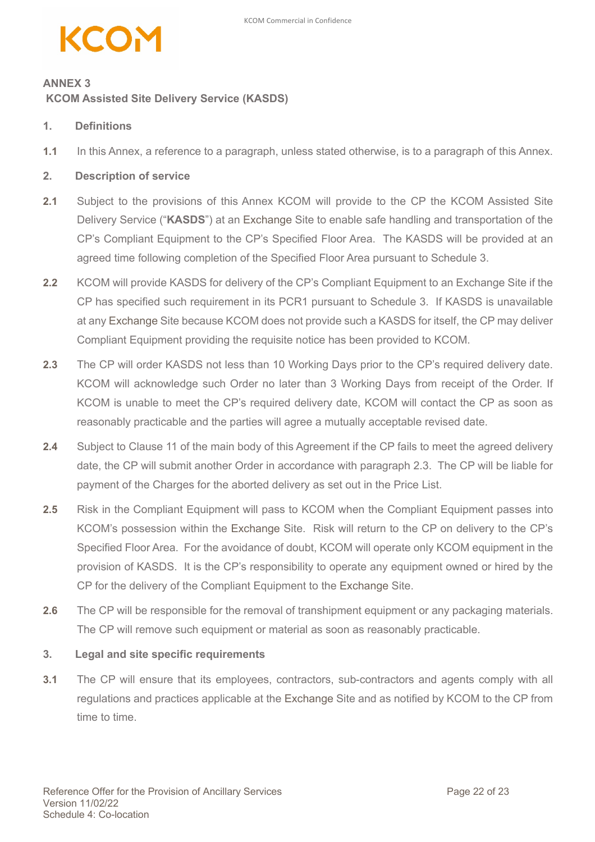### KCO

### **ANNEX 3 KCOM Assisted Site Delivery Service (KASDS)**

#### **1. Definitions**

**1.1** In this Annex, a reference to a paragraph, unless stated otherwise, is to a paragraph of this Annex.

#### **2. Description of service**

- **2.1** Subject to the provisions of this Annex KCOM will provide to the CP the KCOM Assisted Site Delivery Service ("**KASDS**") at an Exchange Site to enable safe handling and transportation of the CP's Compliant Equipment to the CP's Specified Floor Area. The KASDS will be provided at an agreed time following completion of the Specified Floor Area pursuant to Schedule 3.
- **2.2** KCOM will provide KASDS for delivery of the CP's Compliant Equipment to an Exchange Site if the CP has specified such requirement in its PCR1 pursuant to Schedule 3. If KASDS is unavailable at any Exchange Site because KCOM does not provide such a KASDS for itself, the CP may deliver Compliant Equipment providing the requisite notice has been provided to KCOM.
- **2.3** The CP will order KASDS not less than 10 Working Days prior to the CP's required delivery date. KCOM will acknowledge such Order no later than 3 Working Days from receipt of the Order. If KCOM is unable to meet the CP's required delivery date, KCOM will contact the CP as soon as reasonably practicable and the parties will agree a mutually acceptable revised date.
- **2.4** Subject to Clause 11 of the main body of this Agreement if the CP fails to meet the agreed delivery date, the CP will submit another Order in accordance with paragraph 2.3. The CP will be liable for payment of the Charges for the aborted delivery as set out in the Price List.
- **2.5** Risk in the Compliant Equipment will pass to KCOM when the Compliant Equipment passes into KCOM's possession within the Exchange Site. Risk will return to the CP on delivery to the CP's Specified Floor Area. For the avoidance of doubt, KCOM will operate only KCOM equipment in the provision of KASDS. It is the CP's responsibility to operate any equipment owned or hired by the CP for the delivery of the Compliant Equipment to the Exchange Site.
- **2.6** The CP will be responsible for the removal of transhipment equipment or any packaging materials. The CP will remove such equipment or material as soon as reasonably practicable.

#### **3. Legal and site specific requirements**

**3.1** The CP will ensure that its employees, contractors, sub-contractors and agents comply with all regulations and practices applicable at the Exchange Site and as notified by KCOM to the CP from time to time.